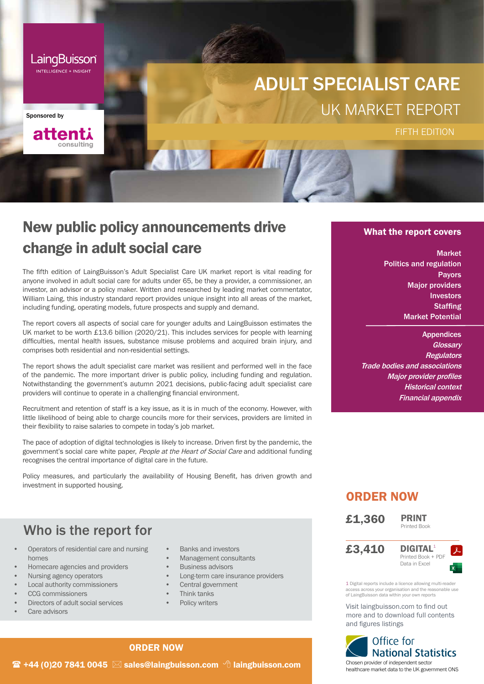

attenti

consulting

Sponsored by

ADULT SPECIALIST CARE UK MARKET REPORT

## New public policy announcements drive change in adult social care

The fifth edition of LaingBuisson's Adult Specialist Care UK market report is vital reading for anyone involved in adult social care for adults under 65, be they a provider, a commissioner, an investor, an advisor or a policy maker. Written and researched by leading market commentator, William Laing, this industry standard report provides unique insight into all areas of the market, including funding, operating models, future prospects and supply and demand.

The report covers all aspects of social care for younger adults and LaingBuisson estimates the UK market to be worth £13.6 billion (2020/21). This includes services for people with learning difficulties, mental health issues, substance misuse problems and acquired brain injury, and comprises both residential and non-residential settings.

The report shows the adult specialist care market was resilient and performed well in the face of the pandemic. The more important driver is public policy, including funding and regulation. Notwithstanding the government's autumn 2021 decisions, public-facing adult specialist care providers will continue to operate in a challenging financial environment.

Recruitment and retention of staff is a key issue, as it is in much of the economy. However, with little likelihood of being able to charge councils more for their services, providers are limited in their flexibility to raise salaries to compete in today's job market.

The pace of adoption of digital technologies is likely to increase. Driven first by the pandemic, the government's social care white paper, People at the Heart of Social Care and additional funding recognises the central importance of digital care in the future.

Policy measures, and particularly the availability of Housing Benefit, has driven growth and investment in supported housing.

## Who is the report for

- Operators of residential care and nursing homes
- Homecare agencies and providers
- Nursing agency operators
- Local authority commissioners
- CCG commissioners
- Directors of adult social services
- Care advisors
- Banks and investors
- Management consultants
- Business advisors
- Long-term care insurance providers
- Central government
- Think tanks
- Policy writers

#### What the report covers

**FIFTH EDITION** 

Market Politics and regulation Payors Major providers Investors **Staffing** Market Potential

**Appendices Glossarv Regulators** Trade bodies and associations Major provider profiles Historical context Financial appendix

### ORDER NOW

£1,360







1 Digital reports include a licence allowing multi-read access across your organisation and the reasonable use of LaingBuisson data within your own reports

Visit laingbuisson.com to find out more and to download full contents and figures listings



#### ORDER NOW